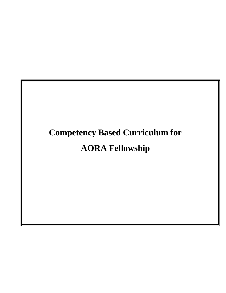# **Competency Based Curriculum for AORA Fellowship**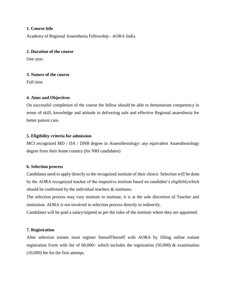# **1. Course title**

Academy of Regional Anaesthesia Fellowship - AORA India.

#### **2. Duration of the course**

One year.

# **3. Nature of the course**

Full time

# **4. Aims and Objectives**

On successful completion of the course the fellow should be able to demonstrate competency in terms of skill, knowledge and attitude in delivering safe and effective Regional anaesthesia for better patient care.

# **5. Eligibility criteria for admission**

MCI recognized MD / DA / DNB degree in Anaesthesiology/ any equivalent Anaesthesiology degree from their home country (for NRI candidates)

# **6. Selection process**

Candidates need to apply directly to the recognized institute of their choice. Selection will be done by the AORA recognized teacher of the respective institute based on candidate's eligibilitywhich should be confirmed by the individual teachers & institutes.

The selection process may vary institute to institute, it is at the sole discretion of Teacher and institution. AORA is not involved in selection process directly or indirectly.

Candidates will be paid a salary/stipend as per the rules of the institute where they are appointed.

# **7. Registration**

After selection trainee must register himself/herself with AORA by filling online trainee registration Form with fee of 60,000/- which includes the registration (50,000) & examination (10,000) fee for the first attempt.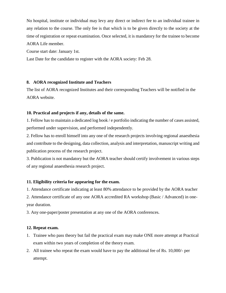No hospital, institute or individual may levy any direct or indirect fee to an individual trainee in any relation to the course. The only fee is that which is to be given directly to the society at the time of registration or repeat examination. Once selected, it is mandatory for the trainee to become AORA Life member.

Course start date: January 1st.

Last Date for the candidate to register with the AORA society: Feb 28.

# **8. AORA recognized Institute and Teachers**

The list of AORA recognized Institutes and their corresponding Teachers will be notified in the AORA website.

# **10. Practical and projects if any, details of the same.**

1. Fellow has to maintain a dedicated log book / e portfolio indicating the number of cases assisted, performed under supervision, and performed independently.

2. Fellow has to enroll himself into any one of the research projects involving regional anaesthesia and contribute to the designing, data collection, analysis and interpretation, manuscript writing and publication process of the research project.

3. Publication is not mandatory but the AORA teacher should certify involvement in various steps of any regional anaesthesia research project.

# **11. Eligibility criteria for appearing for the exam.**

1. Attendance certificate indicating at least 80% attendance to be provided by the AORA teacher 2. Attendance certificate of any one AORA accredited RA workshop (Basic / Advanced) in oneyear duration.

3. Any one-paper/poster presentation at any one of the AORA conferences.

# **12. Repeat exam.**

- 1. Trainee who pass theory but fail the practical exam may make ONE more attempt at Practical exam within two years of completion of the theory exam.
- 2. All trainee who repeat the exam would have to pay the additional fee of Rs. 10,000/- per attempt.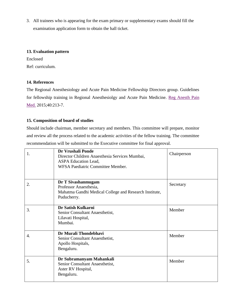3. All trainees who is appearing for the exam primary or supplementary exams should fill the examination application form to obtain the hall ticket.

# **13. Evaluation pattern**

Enclosed Ref: curriculum.

# **14. References**

The Regional Anesthesiology and Acute Pain Medicine Fellowship Directors group. Guidelines for fellowship training in Regional Anesthesiolgy and Acute Pain Medicine. [Reg Anesth Pain](http://www.ncbi.nlm.nih.gov/pubmed/19258987) [Med.](http://www.ncbi.nlm.nih.gov/pubmed/19258987) 2015;40:213-7.

# **15. Composition of board of studies**

Should include chairman, member secretary and members. This committee will prepare, monitor and review all the process related to the academic activities of the fellow training. The committee recommendation will be submitted to the Executive committee for final approval.

| 1. | Dr Vrushali Ponde<br>Director Children Anaesthesia Services Mumbai,<br><b>ASPA</b> Education Lead,<br>WFSA Paediatric Committee Member. | Chairperson |
|----|-----------------------------------------------------------------------------------------------------------------------------------------|-------------|
| 2. | Dr T Sivashanmugam<br>Professor Anaesthesia,<br>Mahatma Gandhi Medical College and Research Institute,<br>Puducherry.                   | Secretary   |
| 3. | Dr Satish Kulkarni<br>Senior Consultant Anaesthetist,<br>Lilavati Hospital,<br>Mumbai.                                                  | Member      |
| 4. | Dr Murali Thondebhavi<br>Senior Consultant Anaesthetist,<br>Apollo Hospitals,<br>Bengaluru.                                             | Member      |
| 5. | Dr Subramanyam Mahankali<br>Senior Consultant Anaesthetist,<br>Aster RV Hospital,<br>Bengaluru.                                         | Member      |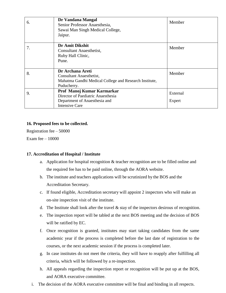| 6. | Dr Vandana Mangal<br>Senior Professor Anaesthesia,<br>Sawai Man Singh Medical College,<br>Jaipur.                          | Member             |
|----|----------------------------------------------------------------------------------------------------------------------------|--------------------|
| 7. | Dr Amit Dikshit<br><b>Consultant Anaesthetist,</b><br>Ruby Hall Clinic,<br>Pune.                                           | Member             |
| 8. | Dr Archana Areti<br>Consultant Anaesthetist,<br>Mahatma Gandhi Medical College and Research Institute,<br>Puducherry.      | Member             |
| 9. | Prof Manoj Kumar Karmarkar<br>Director of Paediatric Anaesthesia<br>Department of Anaesthesia and<br><b>Intensive Care</b> | External<br>Expert |

# **16. Proposed fees to be collected.**

Registration fee – 50000 Exam fee  $-10000$ 

# **17. Accreditation of Hospital / Institute**

- a. Application for hospital recognition & teacher recognition are to be filled online and the required fee has to be paid online, through the AORA website.
- b. The institute and teachers applications will be scrutinized by the BOS and the Accreditation Secretary.
- c. If found eligible, Accreditation secretary will appoint 2 inspectors who will make an on-site inspection visit of the institute.
- d. The Institute shall look after the travel  $\&$  stay of the inspectors desirous of recognition.
- e. The inspection report will be tabled at the next BOS meeting and the decision of BOS will be ratified by EC.
- f. Once recognition is granted, institutes may start taking candidates from the same academic year if the process is completed before the last date of registration to the courses, or the next academic session if the process is completed later.
- g. In case institutes do not meet the criteria, they will have to reapply after fulfilling all criteria, which will be followed by a re-inspection.
- h. All appeals regarding the inspection report or recognition will be put up at the BOS, and AORA executive committee.
- i. The decision of the AORA executive committee will be final and binding in all respects.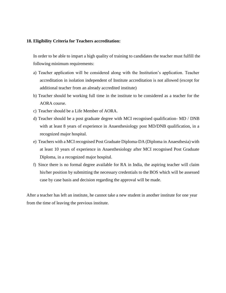#### **18. Eligibility Criteria for Teachers accreditation:**

In order to be able to impart a high quality of training to candidates the teacher must fulfill the following minimum requirements:

- a) Teacher application will be considered along with the Institution's application. Teacher accreditation in isolation independent of Institute accreditation is not allowed (except for additional teacher from an already accredited institute)
- b) Teacher should be working full time in the institute to be considered as a teacher for the AORA course.
- c) Teacher should be a Life Member of AORA.
- d) Teacher should be a post graduate degree with MCI recognised qualification- MD / DNB with at least 8 years of experience in Anaesthesiology post MD/DNB qualification, in a recognized major hospital.
- e) Teachers with a MCI recognised Post Graduate Diploma-DA (Diploma in Anaesthesia) with at least 10 years of experience in Anaesthesiology after MCI recognised Post Graduate Diploma, in a recognized major hospital.
- f) Since there is no formal degree available for RA in India, the aspiring teacher will claim his/her position by submitting the necessary credentials to the BOS which will be assessed case by case basis and decision regarding the approval will be made.

After a teacher has left an institute, he cannot take a new student in another institute for one year from the time of leaving the previous institute.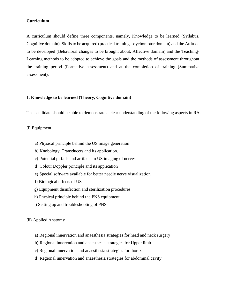## **Curriculum**

A curriculum should define three components, namely, Knowledge to be learned (Syllabus, Cognitive domain), Skills to be acquired (practical training, psychomotor domain) and the Attitude to be developed (Behavioral changes to be brought about, Affective domain) and the Teaching-Learning methods to be adopted to achieve the goals and the methods of assessment throughout the training period (Formative assessment) and at the completion of training (Summative assessment).

#### **1. Knowledge to be learned (Theory, Cognitive domain)**

The candidate should be able to demonstrate a clear understanding of the following aspects in RA.

#### (i) Equipment

- a) Physical principle behind the US image generation
- b) Knobology, Transducers and its application.
- c) Potential pitfalls and artifacts in US imaging of nerves.
- d) Colour Doppler principle and its application
- e) Special software available for better needle nerve visualization
- f) Biological effects of US
- g) Equipment disinfection and sterilization procedures.
- h) Physical principle behind the PNS equipment
- i) Setting up and troubleshooting of PNS.

(ii) Applied Anatomy

- a) Regional innervation and anaesthesia strategies for head and neck surgery
- b) Regional innervation and anaesthesia strategies for Upper limb
- c) Regional innervation and anaesthesia strategies for thorax
- d) Regional innervation and anaesthesia strategies for abdominal cavity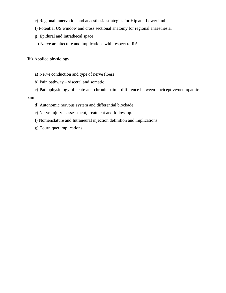- e) Regional innervation and anaesthesia strategies for Hip and Lower limb.
- f) Potential US window and cross sectional anatomy for regional anaesthesia.
- g) Epidural and Intrathecal space
- h) Nerve architecture and implications with respect to RA

(iii) Applied physiology

- a) Nerve conduction and type of nerve fibers
- b) Pain pathway visceral and somatic
- c) Pathophysiology of acute and chronic pain difference between nociceptive/neuropathic

## pain

- d) Autonomic nervous system and differential blockade
- e) Nerve Injury assessment, treatment and follow-up.
- f) Nomenclature and Intraneural injection definition and implications
- g) Tourniquet implications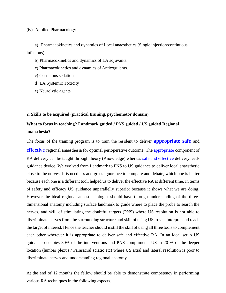#### (iv) Applied Pharmacology

a) Pharmacokinetics and dynamics of Local anaesthetics (Single injection/continuous infusions)

b) Pharmacokinetics and dynamics of LA adjuvants.

c) Pharmacokinetics and dynamics of Anticogulants.

c) Conscious sedation

d) LA Systemic Toxicity

e) Neurolytic agents.

#### **2. Skills to be acquired (practical training, psychomotor domain)**

# **What to focus in teaching? Landmark guided / PNS guided / US guided Regional anaesthesia?**

The focus of the training program is to train the resident to deliver **appropriate safe** and **effective** regional anaesthesia for optimal perioperative outcome. The appropriate component of RA delivery can be taught through theory (Knowledge) whereas safe and effective deliveryneeds guidance device. We evolved from Landmark to PNS to US guidance to deliver local anaesthetic close to the nerves. It is needless and gross ignorance to compare and debate, which one is better because each one is a different tool, helped us to deliver the effective RA at different time. In terms of safety and efficacy US guidance unparallelly superior because it shows what we are doing. However the ideal regional anaesthesiologist should have through understanding of the threedimensional anatomy including surface landmark to guide where to place the probe to search the nerves, and skill of stimulating the doubtful targets (PNS) where US resolution is not able to discriminate nerves from the surrounding structure and skill of using US to see, interpret and reach the target of interest. Hence the teacher should instill the skill of using all three tools to complement each other wherever it is appropriate to deliver safe and effective RA. In an ideal setup US guidance occupies 80% of the interventions and PNS compliments US in 20 % of the deeper location (lumbar plexus / Parasacral sciatic etc) where US axial and lateral resolution is poor to discriminate nerves and understanding regional anatomy.

At the end of 12 months the fellow should be able to demonstrate competency in performing various RA techniques in the following aspects.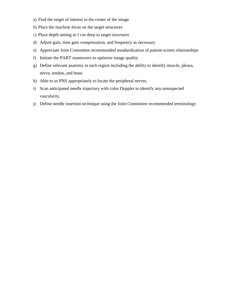- a) Find the target of interest in the center of the image
- b) Place the machine focus on the target structures
- c) Place depth setting at 1 cm deep to target structures
- d) Adjust gain, time gain compensation, and frequency as necessary
- e) Appreciate Joint Committee recommended standardization of patient-screen relationships
- f) Initiate the PART maneuvers to optimize image quality
- g) Define relevant anatomy in each region including the ability to identify muscle, pleura, nerve, tendon, and bone.
- h) Able to us PNS appropriately to locate the peripheral nerves.
- i) Scan anticipated needle trajectory with color Doppler to identify any unsuspected vascularity.
- j) Define needle insertion technique using the Joint Committee recommended terminology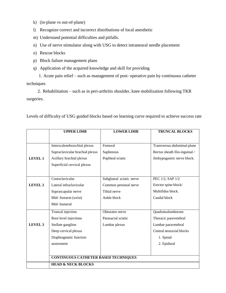- k) (in-plane vs out-of-plane)
- l) Recognize correct and incorrect distributions of local anesthetic
- m) Understand potential difficulties and pitfalls.
- n) Use of nerve stimulator along with USG to detect intraneural needle placement
- o) Rescue blocks
- p) Block failure management plans
- q) Application of the acquired knowledge and skill for providing

1. Acute pain relief – such as management of post- operative pain by continuous catheter techniques

2. Rehabilitation – such as in peri-arthritis shoulder, knee mobilization following TKR surgeries.

Levels of difficulty of USG guided blocks based on learning curve required to achieve success rate

|                | <b>UPPER LIMB</b>                           | <b>LOWER LIMB</b>        | <b>TRUNCAL BLOCKS</b>         |
|----------------|---------------------------------------------|--------------------------|-------------------------------|
|                |                                             |                          |                               |
|                | Interscalenebraxchial plexus                | Femoral                  | Transversus abdominal plane   |
|                | Supraclavicular brachial plexus             | Saphenous                | Rectus sheath Ilio-inguinal / |
| <b>LEVEL 1</b> | Axillary brachial plexus                    | Popliteal sciatic        | iliohypogastric nerve block.  |
|                | Superficial cervical plexus                 |                          |                               |
|                |                                             |                          |                               |
|                | Costoclavicular                             | Subgluteal sciatic nerve | PEC 1/2, SAP 1/2              |
| LEVEL 2        | Lateral infraclavicular                     | Common peroneal nerve    | Erector spine block/          |
|                | Suprascapular nerve                         | Tibial nerve             | Multifidus block.             |
|                | Mid-forearm (wrist)                         | Ankle block              | Caudal block                  |
|                | Mid-humeral                                 |                          |                               |
|                | Truncal injection                           | Obturator nerve          | Quadratuslumboram             |
|                | Root level injections                       | Parasacral sciatic       | Thoracic paravetebral         |
| <b>LEVEL 3</b> | Stellate ganglion                           | Lumbar plexus            | Lumbar paravetebral           |
|                | Deep cervical plexus                        |                          | Central neuraxial blocks      |
|                | Diaphragmatic function                      |                          | 1. Spinal                     |
|                | assessment                                  |                          | 2. Epidural                   |
|                |                                             |                          |                               |
|                | <b>CONTINUOUS CATHETER BASED TECHNIQUES</b> |                          |                               |
|                | <b>HEAD &amp; NECK BLOCKS</b>               |                          |                               |
|                |                                             |                          |                               |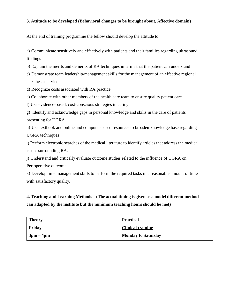# **3. Attitude to be developed (Behavioral changes to be brought about, Affective domain)**

At the end of training programme the fellow should develop the attitude to

a) Communicate sensitively and effectively with patients and their families regarding ultrasound findings

b) Explain the merits and demerits of RA techniques in terms that the patient can understand

c) Demonstrate team leadership/management skills for the management of an effective regional anesthesia service

d) Recognize costs associated with RA practice

e) Collaborate with other members of the health care team to ensure quality patient care

f) Use evidence-based, cost-conscious strategies in caring

g) Identify and acknowledge gaps in personal knowledge and skills in the care of patients presenting for UGRA

h) Use textbook and online and computer-based resources to broaden knowledge base regarding UGRA techniques

i) Perform electronic searches of the medical literature to identify articles that address the medical issues surrounding RA.

j) Understand and critically evaluate outcome studies related to the influence of UGRA on Perioperative outcome.

k) Develop time management skills to perform the required tasks in a reasonable amount of time with satisfactory quality.

**4. Teaching and Learning Methods – (The actual timing is given as a model different method can adapted by the institute but the minimum teaching hours should be met)**

| <b>Theory</b> | <b>Practical</b>          |
|---------------|---------------------------|
| Friday        | <b>Clinical training</b>  |
| $3pm-4pm$     | <b>Monday to Saturday</b> |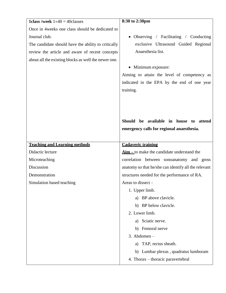| <b>1class /week</b> $1 \times 40 = 40$ classes       | 8:30 to 2:30pm                                       |
|------------------------------------------------------|------------------------------------------------------|
| Once in 4 weeks one class should be dedicated to     |                                                      |
| Journal club.                                        | • Observing / Facilitating / Conducting              |
| The candidate should have the ability to critically  | exclusive Ultrasound Guided Regional                 |
| review the article and aware of recent concepts      | Anaesthesia list.                                    |
| about all the existing blocks as well the newer one. |                                                      |
|                                                      | • Minimum exposure:                                  |
|                                                      | Aiming to attain the level of competency as          |
|                                                      | indicated in the EPA by the end of one year          |
|                                                      | training.                                            |
|                                                      |                                                      |
|                                                      |                                                      |
|                                                      |                                                      |
|                                                      | Should be available in house to attend               |
|                                                      | emergency calls for regional anaesthesia.            |
|                                                      |                                                      |
|                                                      |                                                      |
| <b>Teaching and Learning methods</b>                 | <b>Cadaveric training</b>                            |
| Didactic lecture                                     | $Aim$ – to make the candidate understand the         |
| Microteaching                                        | correlation between sonoanatomy and gross            |
| Discussion                                           | anatomy so that he/she can identify all the relevant |
| Demonstration                                        | structures needed for the performance of RA.         |
| Simulation based teaching                            | Areas to dissect $-$                                 |
|                                                      | 1. Upper limb.                                       |
|                                                      | BP above clavicle.<br>a)                             |
|                                                      | b) BP below clavicle.                                |
|                                                      | 2. Lower limb.                                       |
|                                                      | Sciatic nerve.<br>a)                                 |
|                                                      | Femoral nerve<br>b)                                  |
|                                                      | $3.$ Abdomen –                                       |
|                                                      | TAP, rectus sheath.<br>a)                            |
|                                                      | b) Lumbar plexus, quadratus lumboram                 |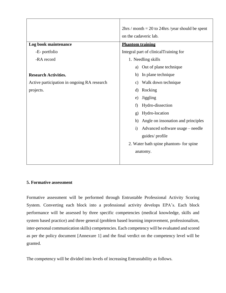|                                             | $2 \text{hrs}$ / month = 20 to 24 hrs /year should be spent |  |
|---------------------------------------------|-------------------------------------------------------------|--|
|                                             | on the cadaveric lab.                                       |  |
| Log book maintenance                        | <b>Phantom training</b>                                     |  |
| -E- portfolio                               | Integral part of clinicalTraining for                       |  |
| -RA record                                  | 1. Needling skills                                          |  |
|                                             | Out of plane technique<br>a)                                |  |
| <b>Research Activities.</b>                 | In plane technique<br>b)                                    |  |
| Active participation in ongoing RA research | Walk down technique<br>C)                                   |  |
| projects.                                   | Rocking<br>d)                                               |  |
|                                             | <b>Jiggling</b><br>e)                                       |  |
|                                             | Hydro-dissection<br>f)                                      |  |
|                                             | Hydro-location<br>$\mathbf{g}$                              |  |
|                                             | Angle on insonation and principles<br>h)                    |  |
|                                             | Advanced software usage - needle<br>$\ddot{1}$              |  |
|                                             | guides/profile                                              |  |
|                                             | 2. Water bath spine phantom- for spine                      |  |
|                                             | anatomy.                                                    |  |
|                                             |                                                             |  |

# **5. Formative assessment**

Formative assessment will be performed through Entrustable Professional Activity Scoring System. Converting each block into a professional activity develops EPA's. Each block performance will be assessed by three specific competencies (medical knowledge, skills and system based practice) and three general (problem based learning improvement, professionalism, inter-personal communication skills) competencies. Each competency will be evaluated and scored as per the policy document [Annexure 1] and the final verdict on the competency level will be granted.

The competency will be divided into levels of increasing Entrustability as follows.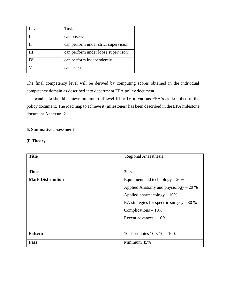| Level | Task                                 |
|-------|--------------------------------------|
|       | can observe                          |
|       | can perform under strict supervision |
|       | can perform under loose supervison   |
|       | can perform independently            |
|       | can teach                            |

The final competency level will be derived by computing scores obtained in the individual competency domain as described into department EPA policy document.

The candidate should achieve minimum of level III or IV in various EPA's as described in the policy document. The road map to achieve it (milestones) has been described in the EPA milestone document Annexure 2.

# **6. Summative assessment**

# **(i) Theory**

| <b>Title</b>             | Regional Anaesthesia                       |  |
|--------------------------|--------------------------------------------|--|
|                          |                                            |  |
| <b>Time</b>              | 3hrs                                       |  |
| <b>Mark Distribution</b> | Equipment and technology $-20\%$           |  |
|                          | Applied Anatomy and physiology $-20\%$     |  |
|                          | Applied pharmacology $-10\%$               |  |
|                          | RA strategies for specific surgery $-30\%$ |  |
|                          | Complications $-10\%$                      |  |
|                          | Recent advances $-10\%$                    |  |
|                          |                                            |  |
| <b>Pattern</b>           | 10 short notes $10 \times 10 = 100$ .      |  |
| Pass                     | Minimum 45%                                |  |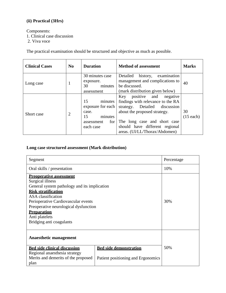# **(ii) Practical (3Hrs)**

Components: 1. Clinical case discussion 2. Viva voce

The practical examination should be structured and objective as much as possible.

| <b>Clinical Cases</b> | N <sub>0</sub> | <b>Duration</b>                                                                                  | <b>Method of assessment</b>                                                                                                                                                                                                           | <b>Marks</b>      |
|-----------------------|----------------|--------------------------------------------------------------------------------------------------|---------------------------------------------------------------------------------------------------------------------------------------------------------------------------------------------------------------------------------------|-------------------|
| Long case             | -              | 30 minutes case<br>exposure.<br>30<br>minutes<br>assessment                                      | Detailed<br>examination<br>history,<br>management and complications to<br>be discussed.<br>(mark distribution given below)                                                                                                            | 40                |
| Short case            | $\overline{2}$ | 15<br>minutes<br>exposure for each<br>case.<br>15<br>minutes<br>for  <br>assessment<br>each case | Key positive and<br>negative<br>findings with relevance to the RA<br>strategy. Detailed discussion<br>about the proposed strategy.<br>The long case and short case<br>should have different regional<br>areas. (Ul/LL/Thorax/Abdomen) | 30<br>$(15$ each) |

# **Long case structured assessment (Mark distribution)**

| Segment                                                                                                                                                                                                                                                                                                           | Percentage                                                          |     |
|-------------------------------------------------------------------------------------------------------------------------------------------------------------------------------------------------------------------------------------------------------------------------------------------------------------------|---------------------------------------------------------------------|-----|
| Oral skills / presentation                                                                                                                                                                                                                                                                                        | 10%                                                                 |     |
| <b>Preoperative assessment</b><br>Surgical illness<br>General system pathology and its implication<br><b>Risk stratification</b><br><b>ASA</b> classification<br>Perioperative Cardiovascular events<br>Preoperative neurological dysfunction<br><b>Preparation</b><br>Anti platelets<br>Bridging anti coagulants |                                                                     | 30% |
| <b>Anaesthetic management</b><br><b>Bed side clinical discussion</b><br>Regional anaesthesia strategy<br>Merits and demerits of the proposed<br>plan                                                                                                                                                              | <b>Bed side demonstration</b><br>Patient positioning and Ergonomics | 50% |